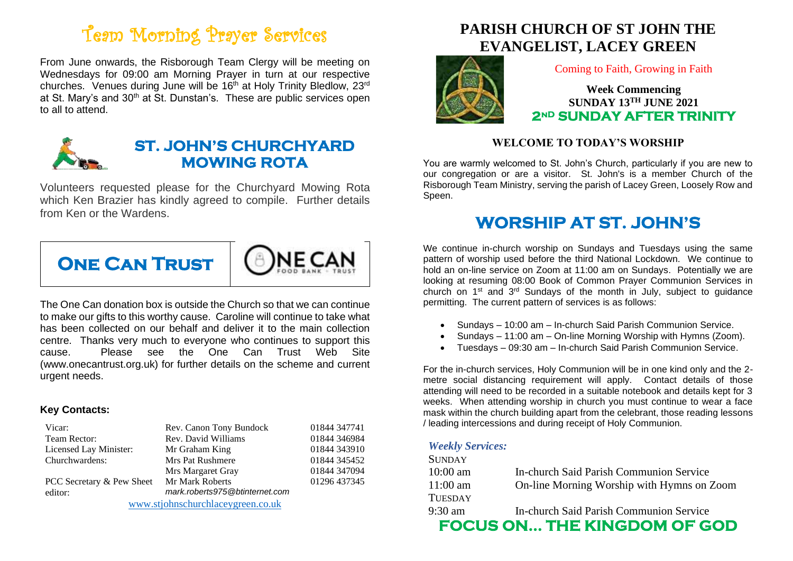# Team Morning Prayer Services

From June onwards, the Risborough Team Clergy will be meeting on Wednesdays for 09:00 am Morning Prayer in turn at our respective churches. Venues during June will be 16<sup>th</sup> at Holy Trinity Bledlow, 23<sup>rd</sup> at St. Mary's and 30<sup>th</sup> at St. Dunstan's. These are public services open to all to attend.



### **ST. JOHN'S CHURCHYARD MOWING ROTA**

Volunteers requested please for the Churchyard Mowing Rota which Ken Brazier has kindly agreed to compile. Further details from Ken or the Wardens.



The One Can donation box is outside the Church so that we can continue to make our gifts to this worthy cause. Caroline will continue to take what has been collected on our behalf and deliver it to the main collection centre. Thanks very much to everyone who continues to support this cause. Please see the One Can Trust Web Site (www.onecantrust.org.uk) for further details on the scheme and current urgent needs.

#### **Key Contacts:**

| Vicar:                            | Rev. Canon Tony Bundock        | 01844 347741 |
|-----------------------------------|--------------------------------|--------------|
| Team Rector:                      | Rev. David Williams            | 01844 346984 |
| Licensed Lay Minister:            | Mr Graham King                 | 01844 343910 |
| Churchwardens:                    | Mrs Pat Rushmere               | 01844 345452 |
|                                   | Mrs Margaret Gray              | 01844 347094 |
| PCC Secretary & Pew Sheet         | Mr Mark Roberts                | 01296 437345 |
| editor:                           | mark.roberts975@btinternet.com |              |
| www.stjohnschurchlaceygreen.co.uk |                                |              |

### **PARISH CHURCH OF ST JOHN THE EVANGELIST, LACEY GREEN**



Coming to Faith, Growing in Faith

**Week Commencing SUNDAY 13TH JUNE 2021 2nD SUNDAY AFTER TRINITY** 

### **WELCOME TO TODAY'S WORSHIP**

You are warmly welcomed to St. John's Church, particularly if you are new to our congregation or are a visitor. St. John's is a member Church of the Risborough Team Ministry, serving the parish of Lacey Green, Loosely Row and Speen.

### **WORSHIP AT ST. JOHN'S**

We continue in-church worship on Sundays and Tuesdays using the same pattern of worship used before the third National Lockdown. We continue to hold an on-line service on Zoom at 11:00 am on Sundays. Potentially we are looking at resuming 08:00 Book of Common Prayer Communion Services in church on 1st and 3rd Sundays of the month in July, subject to guidance permitting. The current pattern of services is as follows:

- Sundays 10:00 am In-church Said Parish Communion Service.
- Sundays 11:00 am On-line Morning Worship with Hymns (Zoom).
- Tuesdays 09:30 am In-church Said Parish Communion Service.

For the in-church services, Holy Communion will be in one kind only and the 2 metre social distancing requirement will apply. Contact details of those attending will need to be recorded in a suitable notebook and details kept for 3 weeks. When attending worship in church you must continue to wear a face mask within the church building apart from the celebrant, those reading lessons / leading intercessions and during receipt of Holy Communion.

#### *Weekly Services:*

| <b>SUNDAY</b>  |                                            |
|----------------|--------------------------------------------|
| $10:00$ am     | In-church Said Parish Communion Service    |
| $11:00$ am     | On-line Morning Worship with Hymns on Zoom |
| <b>TUESDAY</b> |                                            |
| 9:30 am        | In-church Said Parish Communion Service    |
|                | <b>FOCUS ON THE KINGDOM OF GOD</b>         |